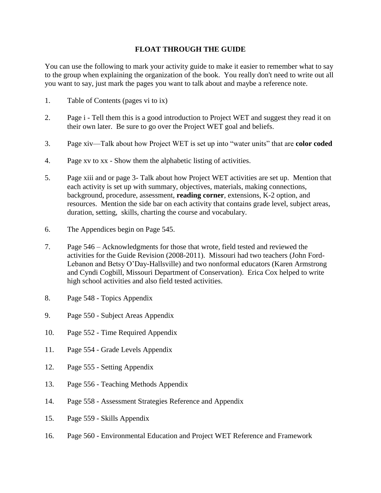## **FLOAT THROUGH THE GUIDE**

You can use the following to mark your activity guide to make it easier to remember what to say to the group when explaining the organization of the book. You really don't need to write out all you want to say, just mark the pages you want to talk about and maybe a reference note.

- 1. Table of Contents (pages vi to ix)
- 2. Page i Tell them this is a good introduction to Project WET and suggest they read it on their own later. Be sure to go over the Project WET goal and beliefs.
- 3. Page xiv—Talk about how Project WET is set up into "water units" that are **color coded**
- 4. Page xv to xx Show them the alphabetic listing of activities.
- 5. Page xiii and or page 3- Talk about how Project WET activities are set up. Mention that each activity is set up with summary, objectives, materials, making connections, background, procedure, assessment, **reading corner**, extensions, K-2 option, and resources. Mention the side bar on each activity that contains grade level, subject areas, duration, setting, skills, charting the course and vocabulary.
- 6. The Appendices begin on Page 545.
- 7. Page 546 Acknowledgments for those that wrote, field tested and reviewed the activities for the Guide Revision (2008-2011). Missouri had two teachers (John Ford-Lebanon and Betsy O'Day-Hallsville) and two nonformal educators (Karen Armstrong and Cyndi Cogbill, Missouri Department of Conservation). Erica Cox helped to write high school activities and also field tested activities.
- 8. Page 548 Topics Appendix
- 9. Page 550 Subject Areas Appendix
- 10. Page 552 Time Required Appendix
- 11. Page 554 Grade Levels Appendix
- 12. Page 555 Setting Appendix
- 13. Page 556 Teaching Methods Appendix
- 14. Page 558 Assessment Strategies Reference and Appendix
- 15. Page 559 Skills Appendix
- 16. Page 560 Environmental Education and Project WET Reference and Framework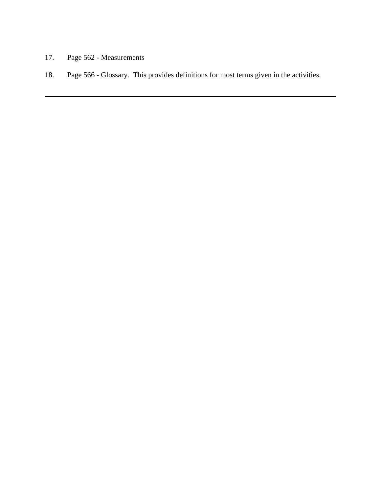- 17. Page 562 Measurements
- 18. Page 566 Glossary. This provides definitions for most terms given in the activities.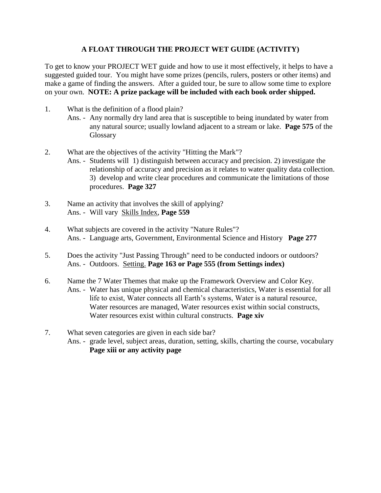## **A FLOAT THROUGH THE PROJECT WET GUIDE (ACTIVITY)**

To get to know your PROJECT WET guide and how to use it most effectively, it helps to have a suggested guided tour. You might have some prizes (pencils, rulers, posters or other items) and make a game of finding the answers. After a guided tour, be sure to allow some time to explore on your own. **NOTE: A prize package will be included with each book order shipped.**

- 1. What is the definition of a flood plain?
	- Ans. Any normally dry land area that is susceptible to being inundated by water from any natural source; usually lowland adjacent to a stream or lake. **Page 575** of the Glossary
- 2. What are the objectives of the activity "Hitting the Mark"? Ans. - Students will 1) distinguish between accuracy and precision. 2) investigate the relationship of accuracy and precision as it relates to water quality data collection. 3) develop and write clear procedures and communicate the limitations of those procedures. **Page 327**
- 3. Name an activity that involves the skill of applying? Ans. - Will vary Skills Index, **Page 559**
- 4. What subjects are covered in the activity "Nature Rules"? Ans. - Language arts, Government, Environmental Science and History **Page 277**
- 5. Does the activity "Just Passing Through" need to be conducted indoors or outdoors? Ans. - Outdoors. Setting. **Page 163 or Page 555 (from Settings index)**
- 6. Name the 7 Water Themes that make up the Framework Overview and Color Key. Ans. - Water has unique physical and chemical characteristics, Water is essential for all life to exist, Water connects all Earth's systems, Water is a natural resource, Water resources are managed, Water resources exist within social constructs, Water resources exist within cultural constructs. **Page xiv**
- 7. What seven categories are given in each side bar? Ans. - grade level, subject areas, duration, setting, skills, charting the course, vocabulary **Page xiii or any activity page**